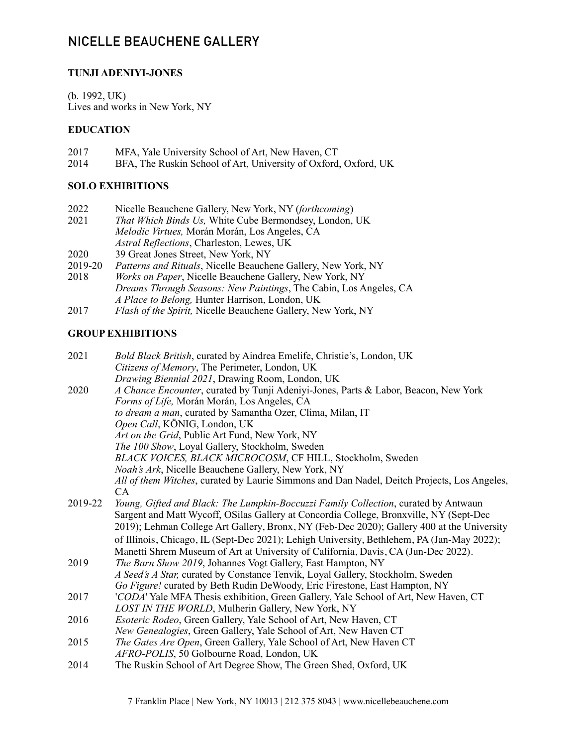# NICELLE BEAUCHENE GALLERY

### **TUNJI ADENIYI-JONES**

(b. 1992, UK) Lives and works in New York, NY

#### **EDUCATION**

| 2017 | MFA, Yale University School of Art, New Haven, CT               |
|------|-----------------------------------------------------------------|
| 2014 | BFA, The Ruskin School of Art, University of Oxford, Oxford, UK |

### **SOLO EXHIBITIONS**

- 2022 Nicelle Beauchene Gallery, New York, NY (*forthcoming*)
- That Which Binds Us, White Cube Bermondsey, London, UK *Melodic Virtues,* Morán Morán, Los Angeles, CA *Astral Reflections*, Charleston, Lewes, UK
- 2020 39 Great Jones Street, New York, NY<br>2019-20 Patterns and Rituals, Nicelle Beauche
- Patterns and Rituals, Nicelle Beauchene Gallery, New York, NY
- 2018 *Works on Paper*, Nicelle Beauchene Gallery, New York, NY *Dreams Through Seasons: New Paintings*, The Cabin, Los Angeles, CA *A Place to Belong,* Hunter Harrison, London, UK
- 2017 *Flash of the Spirit,* Nicelle Beauchene Gallery, New York, NY

## **GROUP EXHIBITIONS**

| 2021    | Bold Black British, curated by Aindrea Emelife, Christie's, London, UK                      |
|---------|---------------------------------------------------------------------------------------------|
|         | Citizens of Memory, The Perimeter, London, UK                                               |
|         | Drawing Biennial 2021, Drawing Room, London, UK                                             |
| 2020    | A Chance Encounter, curated by Tunji Adeniyi-Jones, Parts & Labor, Beacon, New York         |
|         | Forms of Life, Morán Morán, Los Angeles, CA                                                 |
|         | to dream a man, curated by Samantha Ozer, Clima, Milan, IT                                  |
|         | Open Call, KÖNIG, London, UK                                                                |
|         | Art on the Grid, Public Art Fund, New York, NY                                              |
|         | The 100 Show, Loyal Gallery, Stockholm, Sweden                                              |
|         | BLACK VOICES, BLACK MICROCOSM, CF HILL, Stockholm, Sweden                                   |
|         | Noah's Ark, Nicelle Beauchene Gallery, New York, NY                                         |
|         | All of them Witches, curated by Laurie Simmons and Dan Nadel, Deitch Projects, Los Angeles, |
|         | CA                                                                                          |
| 2019-22 | Young, Gifted and Black: The Lumpkin-Boccuzzi Family Collection, curated by Antwaun         |
|         | Sargent and Matt Wycoff, OSilas Gallery at Concordia College, Bronxville, NY (Sept-Dec      |
|         | 2019); Lehman College Art Gallery, Bronx, NY (Feb-Dec 2020); Gallery 400 at the University  |
|         | of Illinois, Chicago, IL (Sept-Dec 2021); Lehigh University, Bethlehem, PA (Jan-May 2022);  |
|         | Manetti Shrem Museum of Art at University of California, Davis, CA (Jun-Dec 2022).          |
| 2019    | The Barn Show 2019, Johannes Vogt Gallery, East Hampton, NY                                 |
|         | A Seed's A Star, curated by Constance Tenvik, Loyal Gallery, Stockholm, Sweden              |
|         | Go Figure! curated by Beth Rudin DeWoody, Eric Firestone, East Hampton, NY                  |
| 2017    | 'CODA' Yale MFA Thesis exhibition, Green Gallery, Yale School of Art, New Haven, CT         |
|         | LOST IN THE WORLD, Mulherin Gallery, New York, NY                                           |
| 2016    | Esoteric Rodeo, Green Gallery, Yale School of Art, New Haven, CT                            |
|         | New Genealogies, Green Gallery, Yale School of Art, New Haven CT                            |
| 2015    | The Gates Are Open, Green Gallery, Yale School of Art, New Haven CT                         |
|         | AFRO-POLIS, 50 Golbourne Road, London, UK                                                   |
| 2014    | The Ruskin School of Art Degree Show, The Green Shed, Oxford, UK                            |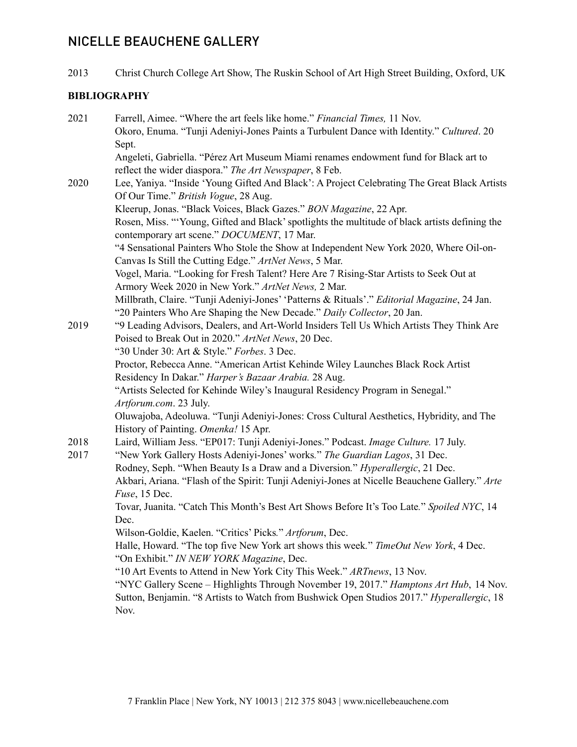# NICELLE BEAUCHENE GALLERY

2013 Christ Church College Art Show, The Ruskin School of Art High Street Building, Oxford, UK

## **BIBLIOGRAPHY**

| 2021 | Farrell, Aimee. "Where the art feels like home." Financial Times, 11 Nov.                                                                       |
|------|-------------------------------------------------------------------------------------------------------------------------------------------------|
|      | Okoro, Enuma. "Tunji Adeniyi-Jones Paints a Turbulent Dance with Identity." Cultured. 20                                                        |
|      | Sept.                                                                                                                                           |
|      | Angeleti, Gabriella. "Pérez Art Museum Miami renames endowment fund for Black art to<br>reflect the wider diaspora." The Art Newspaper, 8 Feb.  |
| 2020 | Lee, Yaniya. "Inside 'Young Gifted And Black': A Project Celebrating The Great Black Artists                                                    |
|      | Of Our Time." British Vogue, 28 Aug.                                                                                                            |
|      | Kleerup, Jonas. "Black Voices, Black Gazes." BON Magazine, 22 Apr.                                                                              |
|      | Rosen, Miss. "Young, Gifted and Black' spotlights the multitude of black artists defining the<br>contemporary art scene." DOCUMENT, 17 Mar.     |
|      | "4 Sensational Painters Who Stole the Show at Independent New York 2020, Where Oil-on-                                                          |
|      | Canvas Is Still the Cutting Edge." ArtNet News, 5 Mar.                                                                                          |
|      | Vogel, Maria. "Looking for Fresh Talent? Here Are 7 Rising-Star Artists to Seek Out at<br>Armory Week 2020 in New York." ArtNet News, 2 Mar.    |
|      | Millbrath, Claire. "Tunji Adeniyi-Jones' 'Patterns & Rituals'." Editorial Magazine, 24 Jan.                                                     |
|      | "20 Painters Who Are Shaping the New Decade." Daily Collector, 20 Jan.                                                                          |
| 2019 | "9 Leading Advisors, Dealers, and Art-World Insiders Tell Us Which Artists They Think Are<br>Poised to Break Out in 2020." ArtNet News, 20 Dec. |
|      | "30 Under 30: Art & Style." Forbes. 3 Dec.                                                                                                      |
|      | Proctor, Rebecca Anne. "American Artist Kehinde Wiley Launches Black Rock Artist                                                                |
|      | Residency In Dakar." Harper's Bazaar Arabia. 28 Aug.                                                                                            |
|      | "Artists Selected for Kehinde Wiley's Inaugural Residency Program in Senegal."                                                                  |
|      | Artforum.com. 23 July.                                                                                                                          |
|      | Oluwajoba, Adeoluwa. "Tunji Adeniyi-Jones: Cross Cultural Aesthetics, Hybridity, and The<br>History of Painting. Omenka! 15 Apr.                |
| 2018 | Laird, William Jess. "EP017: Tunji Adeniyi-Jones." Podcast. Image Culture. 17 July.                                                             |
| 2017 | "New York Gallery Hosts Adeniyi-Jones' works." The Guardian Lagos, 31 Dec.                                                                      |
|      | Rodney, Seph. "When Beauty Is a Draw and a Diversion." Hyperallergic, 21 Dec.                                                                   |
|      | Akbari, Ariana. "Flash of the Spirit: Tunji Adeniyi-Jones at Nicelle Beauchene Gallery." Arte<br>Fuse, 15 Dec.                                  |
|      | Tovar, Juanita. "Catch This Month's Best Art Shows Before It's Too Late." Spoiled NYC, 14                                                       |
|      | Dec.                                                                                                                                            |
|      | Wilson-Goldie, Kaelen. "Critics' Picks." Artforum, Dec.                                                                                         |
|      | Halle, Howard. "The top five New York art shows this week." TimeOut New York, 4 Dec.<br>"On Exhibit." IN NEW YORK Magazine, Dec.                |
|      | "10 Art Events to Attend in New York City This Week." ARTnews, 13 Nov.                                                                          |
|      | "NYC Gallery Scene – Highlights Through November 19, 2017." Hamptons Art Hub, 14 Nov.                                                           |
|      | Sutton, Benjamin. "8 Artists to Watch from Bushwick Open Studios 2017." Hyperallergic, 18<br>Nov.                                               |